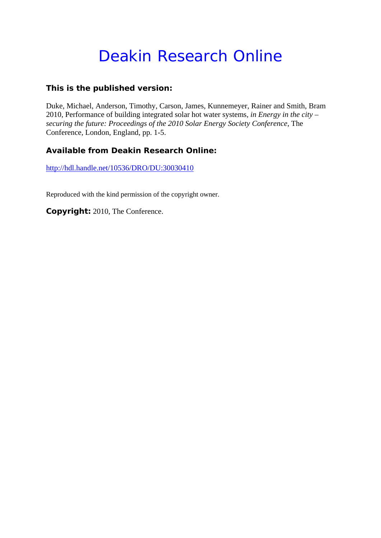# Deakin Research Online

# **This is the published version:**

Duke, Michael, Anderson, Timothy, Carson, James, Kunnemeyer, Rainer and Smith, Bram 2010, Performance of building integrated solar hot water systems*, in Energy in the city – securing the future: Proceedings of the 2010 Solar Energy Society Conference*, The Conference, London, England, pp. 1-5.

# **Available from Deakin Research Online:**

http://hdl.handle.net/10536/DRO/DU:30030410

Reproduced with the kind permission of the copyright owner.

**Copyright:** 2010, The Conference.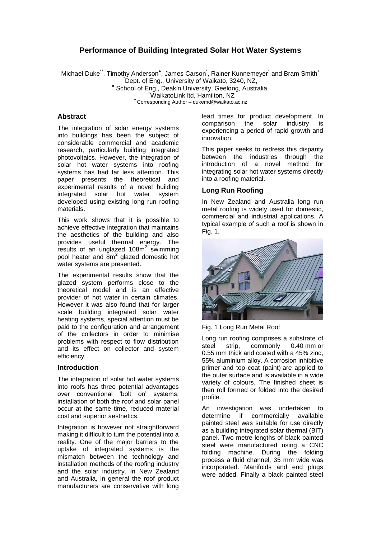# **Performance of Building Integrated Solar Hot Water Systems**

Michael Duke<sup>\*\*</sup>, Timothy Anderson<sup>\*</sup>, James Carson<sup>\*</sup>, Rainer Kunnemeyer<sup>\*</sup> and Bram Smith<sup>+</sup> \*Dept. of Eng., University of Waikato, 3240, NZ, \* School of Eng., Deakin University, Geelong, Australia, <sup>+</sup>WaikatoLink ltd, Hamilton, NZ

\*\* Corresponding Author – dukemd@waikato.ac.nz

#### **Abstract**

The integration of solar energy systems into buildings has been the subject of considerable commercial and academic research, particularly building integrated photovoltaics. However, the integration of solar hot water systems into roofing systems has had far less attention. This paper presents the theoretical and experimental results of a novel building integrated solar hot water system developed using existing long run roofing materials.

This work shows that it is possible to achieve effective integration that maintains the aesthetics of the building and also provides useful thermal energy. The results of an unglazed 108m<sup>2</sup> swimming pool heater and  $8m^2$  glazed domestic hot water systems are presented.

The experimental results show that the glazed system performs close to the theoretical model and is an effective provider of hot water in certain climates. However it was also found that for larger scale building integrated solar water heating systems, special attention must be paid to the configuration and arrangement of the collectors in order to minimise problems with respect to flow distribution and its effect on collector and system efficiency.

#### **Introduction**

The integration of solar hot water systems into roofs has three potential advantages over conventional 'bolt on' systems; installation of both the roof and solar panel occur at the same time, reduced material cost and superior aesthetics.

Integration is however not straightforward making it difficult to turn the potential into a reality. One of the major barriers to the uptake of integrated systems is the mismatch between the technology and installation methods of the roofing industry and the solar industry. In New Zealand and Australia, in general the roof product manufacturers are conservative with long

lead times for product development. In comparison the solar industry is comparison the solar industry is experiencing a period of rapid growth and innovation.

This paper seeks to redress this disparity between the industries through the introduction of a novel method for integrating solar hot water systems directly into a roofing material.

## **Long Run Roofing**

In New Zealand and Australia long run metal roofing is widely used for domestic, commercial and industrial applications. A typical example of such a roof is shown in Fig. 1.



Fig. 1 Long Run Metal Roof

Long run roofing comprises a substrate of steel strip, commonly 0.40 mm or 0.55 mm thick and coated with a 45% zinc, 55% aluminium alloy. A corrosion inhibitive primer and top coat (paint) are applied to the outer surface and is available in a wide variety of colours. The finished sheet is then roll formed or folded into the desired profile.

An investigation was undertaken to determine if commercially available painted steel was suitable for use directly as a building integrated solar thermal (BIT) panel. Two metre lengths of black painted steel were manufactured using a CNC folding machine. During the folding process a fluid channel, 35 mm wide was incorporated. Manifolds and end plugs were added. Finally a black painted steel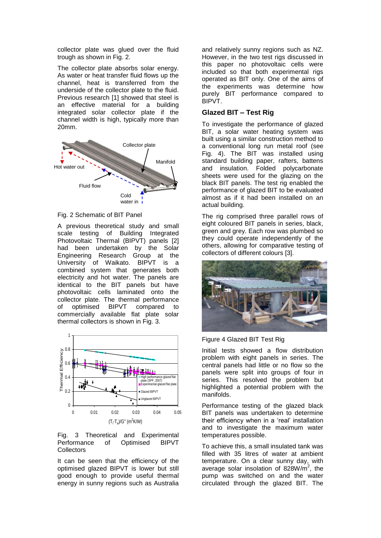collector plate was glued over the fluid trough as shown in Fig. 2.

The collector plate absorbs solar energy. As water or heat transfer fluid flows up the channel, heat is transferred from the underside of the collector plate to the fluid. Previous research [1] showed that steel is an effective material for a building integrated solar collector plate if the channel width is high, typically more than 20mm.



#### Fig. 2 Schematic of BIT Panel

A previous theoretical study and small scale testing of Building Integrated Photovoltaic Thermal (BIPVT) panels [2] had been undertaken by the Solar Engineering Research Group at the University of Waikato. BIPVT is a combined system that generates both electricity and hot water. The panels are identical to the BIT panels but have photovoltaic cells laminated onto the collector plate. The thermal performance of optimised BIPVT compared to commercially available flat plate solar thermal collectors is shown in Fig. 3.



#### Fig. 3 Theoretical and Experimental Performance of Optimised BIPVT **Collectors**

It can be seen that the efficiency of the optimised glazed BIPVT is lower but still good enough to provide useful thermal energy in sunny regions such as Australia

and relatively sunny regions such as NZ. However, in the two test rigs discussed in this paper no photovoltaic cells were included so that both experimental rigs operated as BIT only. One of the aims of the experiments was determine how purely BIT performance compared to BIPVT.

## **Glazed BIT – Test Rig**

To investigate the performance of glazed BIT, a solar water heating system was built using a similar construction method to a conventional long run metal roof (see Fig. 4). The BIT was installed using standard building paper, rafters, battens and insulation. Folded polycarbonate sheets were used for the glazing on the black BIT panels. The test rig enabled the performance of glazed BIT to be evaluated almost as if it had been installed on an actual building.

The rig comprised three parallel rows of eight coloured BIT panels in series, black, green and grey. Each row was plumbed so they could operate independently of the others, allowing for comparative testing of collectors of different colours [3].





Initial tests showed a flow distribution problem with eight panels in series. The central panels had little or no flow so the panels were split into groups of four in series. This resolved the problem but highlighted a potential problem with the manifolds.

Performance testing of the glazed black BIT panels was undertaken to determine their efficiency when in a 'real' installation and to investigate the maximum water temperatures possible.

To achieve this, a small insulated tank was filled with 35 litres of water at ambient temperature. On a clear sunny day, with average solar insolation of 828W/m<sup>2</sup>, the pump was switched on and the water circulated through the glazed BIT. The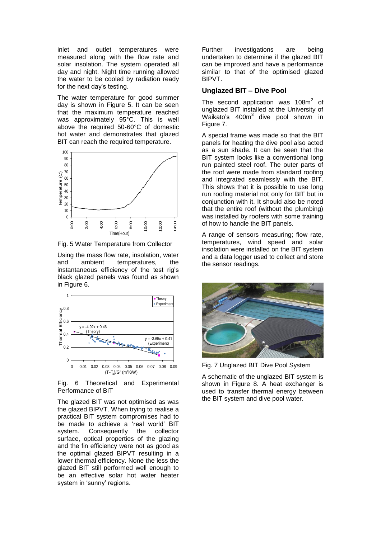inlet and outlet temperatures were measured along with the flow rate and solar insolation. The system operated all day and night. Night time running allowed the water to be cooled by radiation ready for the next day's testing.

The water temperature for good summer day is shown in Figure 5. It can be seen that the maximum temperature reached was approximately 95°C. This is well above the required 50-60°C of domestic hot water and demonstrates that glazed BIT can reach the required temperature.



Fig. 5 Water Temperature from Collector

Using the mass flow rate, insolation, water<br>and ambient temperatures, the temperatures, instantaneous efficiency of the test rig's black glazed panels was found as shown in Figure 6.



Fig. 6 Theoretical and Experimental Performance of BIT

The glazed BIT was not optimised as was the glazed BIPVT. When trying to realise a practical BIT system compromises had to be made to achieve a 'real world' BIT system. Consequently the collector surface, optical properties of the glazing and the fin efficiency were not as good as the optimal glazed BIPVT resulting in a lower thermal efficiency. None the less the glazed BIT still performed well enough to be an effective solar hot water heater system in 'sunny' regions.

Further investigations are being undertaken to determine if the glazed BIT can be improved and have a performance similar to that of the optimised glazed BIPVT.

#### **Unglazed BIT – Dive Pool**

The second application was 108 $m^2$  of unglazed BIT installed at the University of Waikato's 400m<sup>3</sup> dive pool shown in Figure 7.

A special frame was made so that the BIT panels for heating the dive pool also acted as a sun shade. It can be seen that the BIT system looks like a conventional long run painted steel roof. The outer parts of the roof were made from standard roofing and integrated seamlessly with the BIT. This shows that it is possible to use long run roofing material not only for BIT but in conjunction with it. It should also be noted that the entire roof (without the plumbing) was installed by roofers with some training of how to handle the BIT panels.

A range of sensors measuring; flow rate, temperatures, wind speed and solar insolation were installed on the BIT system and a data logger used to collect and store the sensor readings.



Fig. 7 Unglazed BIT Dive Pool System

A schematic of the unglazed BIT system is shown in Figure 8. A heat exchanger is used to transfer thermal energy between the BIT system and dive pool water.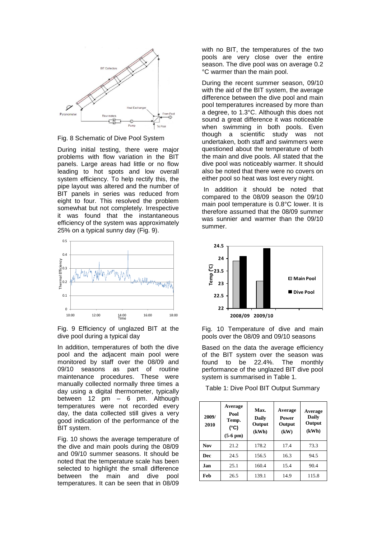

Fig. 8 Schematic of Dive Pool System

During initial testing, there were major problems with flow variation in the BIT panels. Large areas had little or no flow leading to hot spots and low overall system efficiency. To help rectify this, the pipe layout was altered and the number of BIT panels in series was reduced from eight to four. This resolved the problem somewhat but not completely. Irrespective it was found that the instantaneous efficiency of the system was approximately 25% on a typical sunny day (Fig. 9).



Fig. 9 Efficiency of unglazed BIT at the dive pool during a typical day

In addition, temperatures of both the dive pool and the adjacent main pool were monitored by staff over the 08/09 and 09/10 seasons as part of routine maintenance procedures. These were manually collected normally three times a day using a digital thermometer, typically between 12 pm – 6 pm. Although temperatures were not recorded every day, the data collected still gives a very good indication of the performance of the BIT system.

[Fig. 10](#page-4-0) shows the average temperature of the dive and main pools during the 08/09 and 09/10 summer seasons. It should be noted that the temperature scale has been selected to highlight the small difference between the main and dive pool temperatures. It can be seen that in 08/09

with no BIT, the temperatures of the two pools are very close over the entire season. The dive pool was on average 0.2 °C warmer than the main pool.

During the recent summer season, 09/10 with the aid of the BIT system, the average difference between the dive pool and main pool temperatures increased by more than a degree, to 1.3°C. Although this does not sound a great difference it was noticeable when swimming in both pools. Even though a scientific study was not undertaken, both staff and swimmers were questioned about the temperature of both the main and dive pools. All stated that the dive pool was noticeably warmer. It should also be noted that there were no covers on either pool so heat was lost every night.

In addition it should be noted that compared to the 08/09 season the 09/10 main pool temperature is 0.8°C lower. It is therefore assumed that the 08/09 summer was sunnier and warmer than the 09/10 summer.



<span id="page-4-0"></span>Fig. 10 Temperature of dive and main pools over the 08/09 and 09/10 seasons

Based on the data the average efficiency of the BIT system over the season was found to be 22.4%. The monthly performance of the unglazed BIT dive pool system is summarised in Table 1.

Table 1: Dive Pool BIT Output Summary

| 2009/<br>2010 | Average<br>Pool<br>Temp.<br>$(^{\circ}C)$<br>$(5-6 \text{ pm})$ | Max.<br>Daily<br>Output<br>(kWh) | Average<br><b>Power</b><br>Output<br>(kW) | Average<br>Daily<br>Output<br>(kWh) |
|---------------|-----------------------------------------------------------------|----------------------------------|-------------------------------------------|-------------------------------------|
| <b>Nov</b>    | 21.2                                                            | 178.2                            | 17.4                                      | 73.3                                |
| <b>Dec</b>    | 24.5                                                            | 156.5                            | 16.3                                      | 94.5                                |
| <b>Jan</b>    | 25.1                                                            | 160.4                            | 15.4                                      | 90.4                                |
| Feb           | 26.5                                                            | 139.1                            | 14.9                                      | 115.8                               |